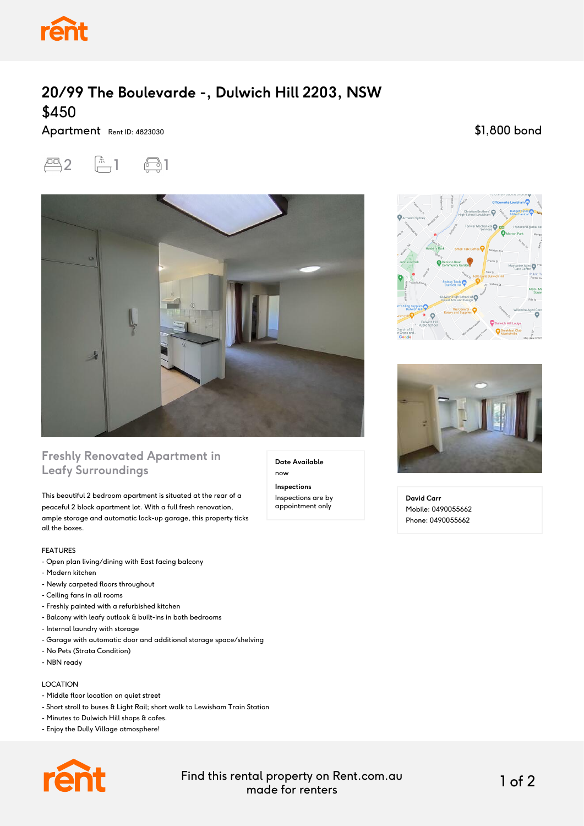

# **20/99 The Boulevarde -, Dulwich Hill 2203, NSW** \$450

Apartment Rent ID: 4823030

\$1,800 bond





### **Freshly Renovated Apartment in Leafy Surroundings**

This beautiful 2 bedroom apartment is situated at the rear of a peaceful 2 block apartment lot. With a full fresh renovation, ample storage and automatic lock-up garage, this property ticks all the boxes.

#### FEATURES

- Open plan living/dining with East facing balcony
- Modern kitchen
- Newly carpeted floors throughout
- Ceiling fans in all rooms
- Freshly painted with a refurbished kitchen
- Balcony with leafy outlook & built-ins in both bedrooms
- Internal laundry with storage
- Garage with automatic door and additional storage space/shelving
- No Pets (Strata Condition)
- NBN ready

### LOCATION

- Middle floor location on quiet street
- Short stroll to buses & Light Rail; short walk to Lewisham Train Station
- Minutes to Dulwich Hill shops & cafes.
- Enjoy the Dully Village atmosphere!



Find this rental property on Rent.com.au made for renters 1 of 2

**Date Available**

now **Inspections** Inspections are by appointment only





**David Carr** Mobile: 0490055662 Phone: 0490055662